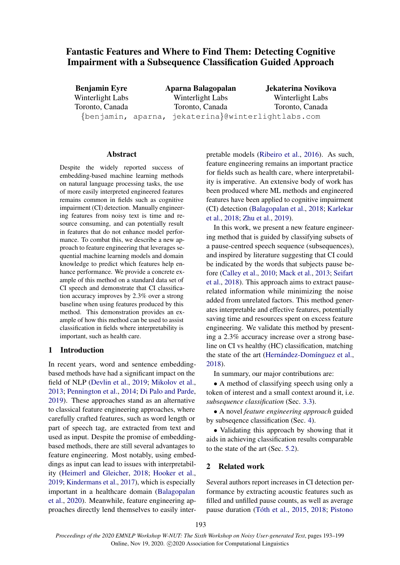# Fantastic Features and Where to Find Them: Detecting Cognitive Impairment with a Subsequence Classification Guided Approach

Benjamin Eyre Winterlight Labs Toronto, Canada Aparna Balagopalan Winterlight Labs Toronto, Canada {benjamin, aparna, jekaterina}@winterlightlabs.com Jekaterina Novikova Winterlight Labs Toronto, Canada

### Abstract

Despite the widely reported success of embedding-based machine learning methods on natural language processing tasks, the use of more easily interpreted engineered features remains common in fields such as cognitive impairment (CI) detection. Manually engineering features from noisy text is time and resource consuming, and can potentially result in features that do not enhance model performance. To combat this, we describe a new approach to feature engineering that leverages sequential machine learning models and domain knowledge to predict which features help enhance performance. We provide a concrete example of this method on a standard data set of CI speech and demonstrate that CI classification accuracy improves by 2.3% over a strong baseline when using features produced by this method. This demonstration provides an example of how this method can be used to assist classification in fields where interpretability is important, such as health care.

### 1 Introduction

In recent years, word and sentence embeddingbased methods have had a significant impact on the field of NLP [\(Devlin et al.,](#page-5-0) [2019;](#page-5-0) [Mikolov et al.,](#page-6-0) [2013;](#page-6-0) [Pennington et al.,](#page-6-1) [2014;](#page-6-1) [Di Palo and Parde,](#page-5-1) [2019\)](#page-5-1). These approaches stand as an alternative to classical feature engineering approaches, where carefully crafted features, such as word length or part of speech tag, are extracted from text and used as input. Despite the promise of embeddingbased methods, there are still several advantages to feature engineering. Most notably, using embeddings as input can lead to issues with interpretability [\(Heimerl and Gleicher,](#page-5-2) [2018;](#page-5-2) [Hooker et al.,](#page-5-3) [2019;](#page-5-3) [Kindermans et al.,](#page-5-4) [2017\)](#page-5-4), which is especially important in a healthcare domain [\(Balagopalan](#page-5-5) [et al.,](#page-5-5) [2020\)](#page-5-5). Meanwhile, feature engineering approaches directly lend themselves to easily inter-

pretable models [\(Ribeiro et al.,](#page-6-2) [2016\)](#page-6-2). As such, feature engineering remains an important practice for fields such as health care, where interpretability is imperative. An extensive body of work has been produced where ML methods and engineered features have been applied to cognitive impairment (CI) detection [\(Balagopalan et al.,](#page-5-6) [2018;](#page-5-6) [Karlekar](#page-5-7) [et al.,](#page-5-7) [2018;](#page-5-7) [Zhu et al.,](#page-6-3) [2019\)](#page-6-3).

In this work, we present a new feature engineering method that is guided by classifying subsets of a pause-centred speech sequence (subsequences), and inspired by literature suggesting that CI could be indicated by the words that subjects pause before [\(Calley et al.,](#page-5-8) [2010;](#page-5-8) [Mack et al.,](#page-5-9) [2013;](#page-5-9) [Seifart](#page-6-4) [et al.,](#page-6-4) [2018\)](#page-6-4). This approach aims to extract pauserelated information while minimizing the noise added from unrelated factors. This method generates interpretable and effective features, potentially saving time and resources spent on excess feature engineering. We validate this method by presenting a 2.3% accuracy increase over a strong baseline on CI vs healthy (HC) classification, matching the state of the art (Hernández-Domínguez et al., [2018\)](#page-5-10).

In summary, our major contributions are:

• A method of classifying speech using only a token of interest and a small context around it, i.e. *subsequence classification* (Sec. [3.3\)](#page-2-0).

• A novel *feature engineering approach* guided by subseqence classification (Sec. [4\)](#page-2-1).

• Validating this approach by showing that it aids in achieving classification results comparable to the state of the art (Sec. [5.2\)](#page-3-0).

### 2 Related work

Several authors report increases in CI detection performance by extracting acoustic features such as filled and unfilled pause counts, as well as average pause duration (Tóth et al., [2015,](#page-6-5) [2018;](#page-6-6) [Pistono](#page-6-7)

193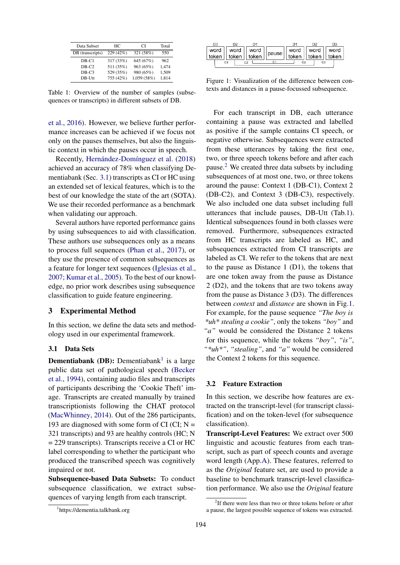<span id="page-1-3"></span>

| Data Subset      | HС        | CI          | Total |
|------------------|-----------|-------------|-------|
| DB (transcripts) | 229 (42%) | 321 (58%)   | 550   |
| $DB-C1$          | 317 (33%) | 645 (67%)   | 962   |
| $DB-C2$          | 511 (35%) | 963 (65%)   | 1.474 |
| $DB-C3$          | 529 (35%) | 980 (65%)   | 1,509 |
| $DB-Utt$         | 755 (42%) | 1,059 (58%) | 1,814 |

Table 1: Overview of the number of samples (subsequences or transcripts) in different subsets of DB.

[et al.,](#page-6-7) [2016\)](#page-6-7). However, we believe further performance increases can be achieved if we focus not only on the pauses themselves, but also the linguistic context in which the pauses occur in speech.

Recently, Hernández-Domínguez et al. [\(2018\)](#page-5-10) achieved an accuracy of 78% when classifying Dementiabank (Sec. [3.1\)](#page-1-0) transcripts as CI or HC using an extended set of lexical features, which is to the best of our knowledge the state of the art (SOTA). We use their recorded performance as a benchmark when validating our approach.

Several authors have reported performance gains by using subsequences to aid with classification. These authors use subsequences only as a means to process full sequences [\(Phan et al.,](#page-6-8) [2017\)](#page-6-8), or they use the presence of common subsequences as a feature for longer text sequences [\(Iglesias et al.,](#page-5-11) [2007;](#page-5-11) [Kumar et al.,](#page-5-12) [2005\)](#page-5-12). To the best of our knowledge, no prior work describes using subsequence classification to guide feature engineering.

### 3 Experimental Method

In this section, we define the data sets and methodology used in our experimental framework.

### <span id="page-1-0"></span>3.1 Data Sets

**Dementiabank** (DB): Dementiabank<sup>[1](#page-1-1)</sup> is a large public data set of pathological speech [\(Becker](#page-5-13) [et al.,](#page-5-13) [1994\)](#page-5-13), containing audio files and transcripts of participants describing the 'Cookie Theft' image. Transcripts are created manually by trained transcriptionists following the CHAT protocol [\(MacWhinney,](#page-5-14) [2014\)](#page-5-14). Out of the 286 participants, 193 are diagnosed with some form of CI (CI;  $N =$ 321 transcripts) and 93 are healthy controls (HC; N = 229 transcripts). Transcripts receive a CI or HC label corresponding to whether the participant who produced the transcribed speech was cognitively impaired or not.

Subsequence-based Data Subsets: To conduct subsequence classification, we extract subsequences of varying length from each transcript.

<span id="page-1-4"></span>

| D3 |                |                                                                                                  |  | D3 |
|----|----------------|--------------------------------------------------------------------------------------------------|--|----|
|    |                | word word word word boken blues word word word<br>token token token blues token blues word token |  |    |
|    |                |                                                                                                  |  |    |
|    | C <sub>3</sub> |                                                                                                  |  |    |

Figure 1: Visualization of the difference between contexts and distances in a pause-focussed subsequence.

For each transcript in DB, each utterance containing a pause was extracted and labelled as positive if the sample contains CI speech, or negative otherwise. Subsequences were extracted from these utterances by taking the first one, two, or three speech tokens before and after each pause.[2](#page-1-2) We created three data subsets by including subsequences of at most one, two, or three tokens around the pause: Context 1 (DB-C1), Context 2 (DB-C2), and Context 3 (DB-C3), respectively. We also included one data subset including full utterances that include pauses, DB-Utt (Tab[.1\)](#page-1-3). Identical subsequences found in both classes were removed. Furthermore, subsequences extracted from HC transcripts are labeled as HC, and subsequences extracted from CI transcripts are labeled as CI. We refer to the tokens that are next to the pause as Distance  $1$  (D1), the tokens that are one token away from the pause as Distance 2 (D2), and the tokens that are two tokens away from the pause as Distance 3 (D3). The differences between *context* and *distance* are shown in Fig[.1.](#page-1-4) For example, for the pause sequence *"The boy is \*uh\* stealing a cookie"*, only the tokens *"boy"* and *"a"* would be considered the Distance 2 tokens for this sequence, while the tokens *"boy"*, *"is"*, *"\*uh\*"*, *"stealing"*, and *"a"* would be considered the Context 2 tokens for this sequence.

#### 3.2 Feature Extraction

In this section, we describe how features are extracted on the transcript-level (for transcript classification) and on the token-level (for subsequence classification).

Transcript-Level Features: We extract over 500 linguistic and acoustic features from each transcript, such as part of speech counts and average word length (App.A). These features, referred to as the *Original* feature set, are used to provide a baseline to benchmark transcript-level classification performance. We also use the *Original* feature

<span id="page-1-1"></span><sup>1</sup> https://dementia.talkbank.org

<span id="page-1-2"></span><sup>&</sup>lt;sup>2</sup>If there were less than two or three tokens before or after a pause, the largest possible sequence of tokens was extracted.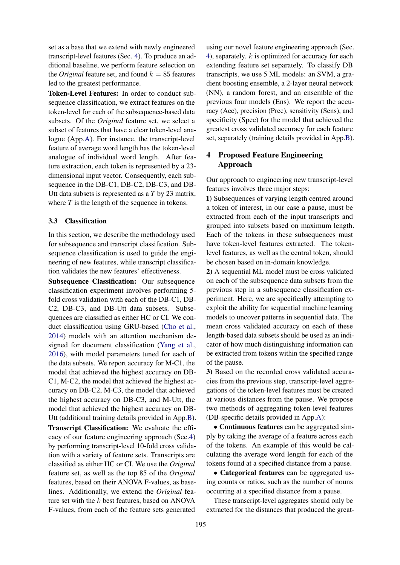set as a base that we extend with newly engineered transcript-level features (Sec. [4\)](#page-2-1). To produce an additional baseline, we perform feature selection on the *Original* feature set, and found  $k = 85$  features led to the greatest performance.

Token-Level Features: In order to conduct subsequence classification, we extract features on the token-level for each of the subsequence-based data subsets. Of the *Original* feature set, we select a subset of features that have a clear token-level analogue (App.A). For instance, the transcript-level feature of average word length has the token-level analogue of individual word length. After feature extraction, each token is represented by a 23 dimensional input vector. Consequently, each subsequence in the DB-C1, DB-C2, DB-C3, and DB-Utt data subsets is represented as a *T* by 23 matrix, where *T* is the length of the sequence in tokens.

### <span id="page-2-0"></span>3.3 Classification

In this section, we describe the methodology used for subsequence and transcript classification. Subsequence classification is used to guide the engineering of new features, while transcript classification validates the new features' effectiveness.

Subsequence Classification: Our subsequence classification experiment involves performing 5 fold cross validation with each of the DB-C1, DB-C2, DB-C3, and DB-Utt data subsets. Subsequences are classified as either HC or CI. We conduct classification using GRU-based [\(Cho et al.,](#page-5-15) [2014\)](#page-5-15) models with an attention mechanism designed for document classification [\(Yang et al.,](#page-6-9) [2016\)](#page-6-9), with model parameters tuned for each of the data subsets. We report accuracy for M-C1, the model that achieved the highest accuracy on DB-C1, M-C2, the model that achieved the highest accuracy on DB-C2, M-C3, the model that achieved the highest accuracy on DB-C3, and M-Utt, the model that achieved the highest accuracy on DB-Utt (additional training details provided in App.B).

Transcript Classification: We evaluate the efficacy of our feature engineering approach (Sec[.4\)](#page-2-1) by performing transcript-level 10-fold cross validation with a variety of feature sets. Transcripts are classified as either HC or CI. We use the *Original* feature set, as well as the top 85 of the *Original* features, based on their ANOVA F-values, as baselines. Additionally, we extend the *Original* feature set with the  $k$  best features, based on ANOVA F-values, from each of the feature sets generated

using our novel feature engineering approach (Sec. [4\)](#page-2-1), separately. k is optimized for accuracy for each extending feature set separately. To classify DB transcripts, we use 5 ML models: an SVM, a gradient boosting ensemble, a 2-layer neural network (NN), a random forest, and an ensemble of the previous four models (Ens). We report the accuracy (Acc), precision (Prec), sensitivity (Sens), and specificity (Spec) for the model that achieved the greatest cross validated accuracy for each feature set, separately (training details provided in App.B).

# <span id="page-2-1"></span>4 Proposed Feature Engineering Approach

Our approach to engineering new transcript-level features involves three major steps:

1) Subsequences of varying length centred around a token of interest, in our case a pause, must be extracted from each of the input transcripts and grouped into subsets based on maximum length. Each of the tokens in these subsequences must have token-level features extracted. The tokenlevel features, as well as the central token, should be chosen based on in-domain knowledge.

2) A sequential ML model must be cross validated on each of the subsequence data subsets from the previous step in a subsequence classification experiment. Here, we are specifically attempting to exploit the ability for sequential machine learning models to uncover patterns in sequential data. The mean cross validated accuracy on each of these length-based data subsets should be used as an indicator of how much distinguishing information can be extracted from tokens within the specified range of the pause.

3) Based on the recorded cross validated accuracies from the previous step, transcript-level aggregations of the token-level features must be created at various distances from the pause. We propose two methods of aggregating token-level features (DB-specific details provided in App.A):

• Continuous features can be aggregated simply by taking the average of a feature across each of the tokens. An example of this would be calculating the average word length for each of the tokens found at a specified distance from a pause.

• Categorical features can be aggregated using counts or ratios, such as the number of nouns occurring at a specified distance from a pause.

These transcript-level aggregates should only be extracted for the distances that produced the great-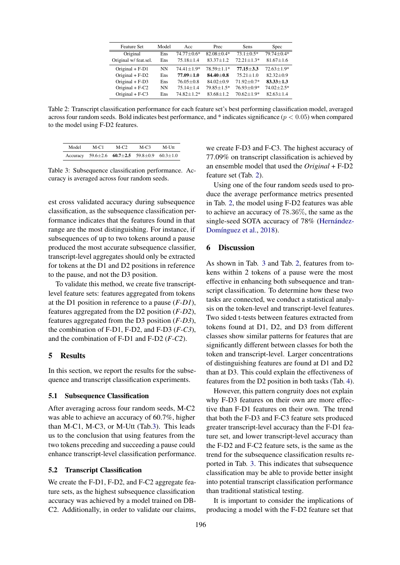<span id="page-3-2"></span>

| <b>Feature Set</b>    | Model     | Acc               | Prec           | <b>Sens</b>      | <b>Spec</b>     |
|-----------------------|-----------|-------------------|----------------|------------------|-----------------|
| Original              | Ens       | $74.77 \pm 0.6^*$ | $82.08 + 0.4*$ | $73.1 + 0.5*$    | $79.74 + 0.4*$  |
| Original w/ feat.sel. | Ens       | $75.18 + 1.4$     | $83.37 + 1.2$  | $72.21 + 1.3*$   | $81.67 \pm 1.6$ |
| Original $+ F-D1$     | NN        | $74.41 + 1.9*$    | $78.59 + 1.1*$ | $77.15 + 3.3$    | $72.63 + 1.9*$  |
| Original $+ F-D2$     | Ens       | $77.09 + 1.0$     | $84.40 + 0.8$  | $75.21 + 1.0$    | $82.32 + 0.9$   |
| Original $+ F-D3$     | Ens       | $76.05 + 0.8$     | $84.02 + 0.9$  | $71.92 + 0.7*$   | $83.33 + 1.3$   |
| Original $+ F-C2$     | <b>NN</b> | $75.14 + 1.4$     | $79.85 + 1.5*$ | $76.93 \pm 0.9*$ | $74.02 + 2.5*$  |
| Original $+ F-C3$     | Ens       | $74.82 + 1.2*$    | $83.68 + 1.2$  | $70.62 + 1.9*$   | $82.63 + 1.4$   |

Table 2: Transcript classification performance for each feature set's best performing classification model, averaged across four random seeds. Bold indicates best performance, and  $*$  indicates significance ( $p < 0.05$ ) when compared to the model using F-D2 features.

<span id="page-3-1"></span>

| Model | $M-C1$ | $M-C2$                                                               | $M-C3$ | $M-$ Uff |
|-------|--------|----------------------------------------------------------------------|--------|----------|
|       |        | Accuracy 59.6 $\pm$ 2.6 60.7 $\pm$ 2.5 59.8 $\pm$ 0.9 60.3 $\pm$ 1.0 |        |          |

Table 3: Subsequence classification performance. Accuracy is averaged across four random seeds.

est cross validated accuracy during subsequence classification, as the subsequence classification performance indicates that the features found in that range are the most distinguishing. For instance, if subsequences of up to two tokens around a pause produced the most accurate subsequence classifier, transcript-level aggregates should only be extracted for tokens at the D1 and D2 positions in reference to the pause, and not the D3 position.

To validate this method, we create five transcriptlevel feature sets: features aggregated from tokens at the D1 position in reference to a pause (*F-D1*), features aggregated from the D2 position (*F-D2*), features aggregated from the D3 position (*F-D3*), the combination of F-D1, F-D2, and F-D3 (*F-C3*), and the combination of F-D1 and F-D2 (*F-C2*).

# 5 Results

In this section, we report the results for the subsequence and transcript classification experiments.

# 5.1 Subsequence Classification

After averaging across four random seeds, M-C2 was able to achieve an accuracy of 60.7%, higher than M-C1, M-C3, or M-Utt (Tab[.3\)](#page-3-1). This leads us to the conclusion that using features from the two tokens preceding and succeeding a pause could enhance transcript-level classification performance.

#### <span id="page-3-0"></span>5.2 Transcript Classification

We create the F-D1, F-D2, and F-C2 aggregate feature sets, as the highest subsequence classification accuracy was achieved by a model trained on DB-C2. Additionally, in order to validate our claims,

we create F-D3 and F-C3. The highest accuracy of 77.09% on transcript classification is achieved by an ensemble model that used the *Original* + F-D2 feature set (Tab. [2\)](#page-3-2).

Using one of the four random seeds used to produce the average performance metrics presented in Tab. [2,](#page-3-2) the model using F-D2 features was able to achieve an accuracy of 78.36%, the same as the single-seed SOTA accuracy of 78% (Hernández-Domínguez et al., [2018\)](#page-5-10).

# 6 Discussion

As shown in Tab. [3](#page-3-1) and Tab. [2,](#page-3-2) features from tokens within 2 tokens of a pause were the most effective in enhancing both subsequence and transcript classification. To determine how these two tasks are connected, we conduct a statistical analysis on the token-level and transcript-level features. Two sided t-tests between features extracted from tokens found at D1, D2, and D3 from different classes show similar patterns for features that are significantly different between classes for both the token and transcript-level. Larger concentrations of distinguishing features are found at D1 and D2 than at D3. This could explain the effectiveness of features from the D2 position in both tasks (Tab. [4\)](#page-4-0).

However, this pattern congruity does not explain why F-D3 features on their own are more effective than F-D1 features on their own. The trend that both the F-D3 and F-C3 feature sets produced greater transcript-level accuracy than the F-D1 feature set, and lower transcript-level accuracy than the F-D2 and F-C2 feature sets, is the same as the trend for the subsequence classification results reported in Tab. [3.](#page-3-1) This indicates that subsequence classification may be able to provide better insight into potential transcript classification performance than traditional statistical testing.

It is important to consider the implications of producing a model with the F-D2 feature set that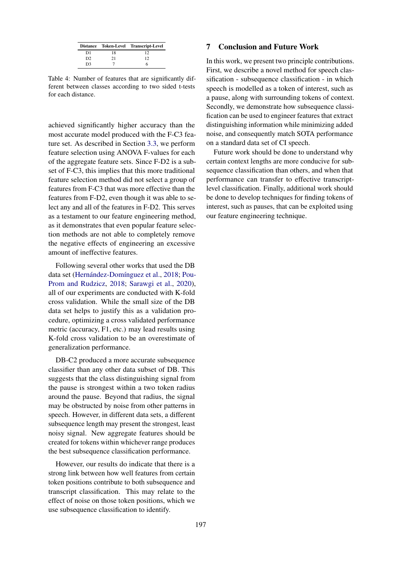<span id="page-4-0"></span>

|                |    | Distance Token-Level Transcript-Level |
|----------------|----|---------------------------------------|
| D1             | 18 |                                       |
| D <sub>2</sub> | 21 | 12                                    |
| D3             |    |                                       |

Table 4: Number of features that are significantly different between classes according to two sided t-tests for each distance.

achieved significantly higher accuracy than the most accurate model produced with the F-C3 feature set. As described in Section [3.3,](#page-2-0) we perform feature selection using ANOVA F-values for each of the aggregate feature sets. Since F-D2 is a subset of F-C3, this implies that this more traditional feature selection method did not select a group of features from F-C3 that was more effective than the features from F-D2, even though it was able to select any and all of the features in F-D2. This serves as a testament to our feature engineering method, as it demonstrates that even popular feature selection methods are not able to completely remove the negative effects of engineering an excessive amount of ineffective features.

Following several other works that used the DB data set (Hernández-Domínguez et al., [2018;](#page-5-10) [Pou-](#page-6-10)[Prom and Rudzicz,](#page-6-10) [2018;](#page-6-10) [Sarawgi et al.,](#page-6-11) [2020\)](#page-6-11), all of our experiments are conducted with K-fold cross validation. While the small size of the DB data set helps to justify this as a validation procedure, optimizing a cross validated performance metric (accuracy, F1, etc.) may lead results using K-fold cross validation to be an overestimate of generalization performance.

DB-C2 produced a more accurate subsequence classifier than any other data subset of DB. This suggests that the class distinguishing signal from the pause is strongest within a two token radius around the pause. Beyond that radius, the signal may be obstructed by noise from other patterns in speech. However, in different data sets, a different subsequence length may present the strongest, least noisy signal. New aggregate features should be created for tokens within whichever range produces the best subsequence classification performance.

However, our results do indicate that there is a strong link between how well features from certain token positions contribute to both subsequence and transcript classification. This may relate to the effect of noise on those token positions, which we use subsequence classification to identify.

## 7 Conclusion and Future Work

In this work, we present two principle contributions. First, we describe a novel method for speech classification - subsequence classification - in which speech is modelled as a token of interest, such as a pause, along with surrounding tokens of context. Secondly, we demonstrate how subsequence classification can be used to engineer features that extract distinguishing information while minimizing added noise, and consequently match SOTA performance on a standard data set of CI speech.

Future work should be done to understand why certain context lengths are more conducive for subsequence classification than others, and when that performance can transfer to effective transcriptlevel classification. Finally, additional work should be done to develop techniques for finding tokens of interest, such as pauses, that can be exploited using our feature engineering technique.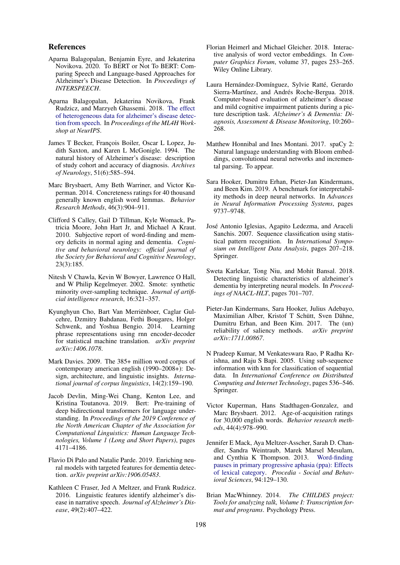### References

- <span id="page-5-5"></span>Aparna Balagopalan, Benjamin Eyre, and Jekaterina Novikova. 2020. To BERT or Not To BERT: Comparing Speech and Language-based Approaches for Alzheimer's Disease Detection. In *Proceedings of INTERSPEECH*.
- <span id="page-5-6"></span>Aparna Balagopalan, Jekaterina Novikova, Frank Rudzicz, and Marzyeh Ghassemi. 2018. [The effect](https://arxiv.org/abs/1811.12254) [of heterogeneous data for alzheimer's disease detec](https://arxiv.org/abs/1811.12254)[tion from speech.](https://arxiv.org/abs/1811.12254) In *Proceedings of the ML4H Workshop at NeurIPS*.
- <span id="page-5-13"></span>James T Becker, François Boiler, Oscar L Lopez, Judith Saxton, and Karen L McGonigle. 1994. The natural history of Alzheimer's disease: description of study cohort and accuracy of diagnosis. *Archives of Neurology*, 51(6):585–594.
- Marc Brysbaert, Amy Beth Warriner, and Victor Kuperman. 2014. Concreteness ratings for 40 thousand generally known english word lemmas. *Behavior Research Methods*, 46(3):904–911.
- <span id="page-5-8"></span>Clifford S Calley, Gail D Tillman, Kyle Womack, Patricia Moore, John Hart Jr, and Michael A Kraut. 2010. Subjective report of word-finding and memory deficits in normal aging and dementia. *Cognitive and behavioral neurology: official journal of the Society for Behavioral and Cognitive Neurology*, 23(3):185.
- Nitesh V Chawla, Kevin W Bowyer, Lawrence O Hall, and W Philip Kegelmeyer. 2002. Smote: synthetic minority over-sampling technique. *Journal of artificial intelligence research*, 16:321–357.
- <span id="page-5-15"></span>Kyunghyun Cho, Bart Van Merriënboer, Caglar Gulcehre, Dzmitry Bahdanau, Fethi Bougares, Holger Schwenk, and Yoshua Bengio. 2014. Learning phrase representations using rnn encoder-decoder for statistical machine translation. *arXiv preprint arXiv:1406.1078*.
- Mark Davies. 2009. The 385+ million word corpus of contemporary american english (1990–2008+): Design, architecture, and linguistic insights. *International journal of corpus linguistics*, 14(2):159–190.
- <span id="page-5-0"></span>Jacob Devlin, Ming-Wei Chang, Kenton Lee, and Kristina Toutanova. 2019. Bert: Pre-training of deep bidirectional transformers for language understanding. In *Proceedings of the 2019 Conference of the North American Chapter of the Association for Computational Linguistics: Human Language Technologies, Volume 1 (Long and Short Papers)*, pages 4171–4186.
- <span id="page-5-1"></span>Flavio Di Palo and Natalie Parde. 2019. Enriching neural models with targeted features for dementia detection. *arXiv preprint arXiv:1906.05483*.
- Kathleen C Fraser, Jed A Meltzer, and Frank Rudzicz. 2016. Linguistic features identify alzheimer's disease in narrative speech. *Journal of Alzheimer's Disease*, 49(2):407–422.
- <span id="page-5-2"></span>Florian Heimerl and Michael Gleicher. 2018. Interactive analysis of word vector embeddings. In *Computer Graphics Forum*, volume 37, pages 253–265. Wiley Online Library.
- <span id="page-5-10"></span>Laura Hernández-Domínguez, Sylvie Ratté, Gerardo Sierra-Martínez, and Andrés Roche-Bergua. 2018. Computer-based evaluation of alzheimer's disease and mild cognitive impairment patients during a picture description task. *Alzheimer's & Dementia: Diagnosis, Assessment & Disease Monitoring*, 10:260– 268.
- Matthew Honnibal and Ines Montani. 2017. spaCy 2: Natural language understanding with Bloom embeddings, convolutional neural networks and incremental parsing. To appear.
- <span id="page-5-3"></span>Sara Hooker, Dumitru Erhan, Pieter-Jan Kindermans, and Been Kim. 2019. A benchmark for interpretability methods in deep neural networks. In *Advances in Neural Information Processing Systems*, pages 9737–9748.
- <span id="page-5-11"></span>Jose Antonio Iglesias, Agapito Ledezma, and Araceli ´ Sanchis. 2007. Sequence classification using statistical pattern recognition. In *International Symposium on Intelligent Data Analysis*, pages 207–218. Springer.
- <span id="page-5-7"></span>Sweta Karlekar, Tong Niu, and Mohit Bansal. 2018. Detecting linguistic characteristics of alzheimer's dementia by interpreting neural models. In *Proceedings of NAACL-HLT*, pages 701–707.
- <span id="page-5-4"></span>Pieter-Jan Kindermans, Sara Hooker, Julius Adebayo, Maximilian Alber, Kristof T Schütt, Sven Dähne, Dumitru Erhan, and Been Kim. 2017. The (un) reliability of saliency methods. *arXiv preprint arXiv:1711.00867*.
- <span id="page-5-12"></span>N Pradeep Kumar, M Venkateswara Rao, P Radha Krishna, and Raju S Bapi. 2005. Using sub-sequence information with knn for classification of sequential data. In *International Conference on Distributed Computing and Internet Technology*, pages 536–546. Springer.
- Victor Kuperman, Hans Stadthagen-Gonzalez, and Marc Brysbaert. 2012. Age-of-acquisition ratings for 30,000 english words. *Behavior research methods*, 44(4):978–990.
- <span id="page-5-9"></span>Jennifer E Mack, Aya Meltzer-Asscher, Sarah D. Chandler, Sandra Weintraub, Marek Marsel Mesulam, and Cynthia K Thompson. 2013. [Word-finding](https://doi.org/10.1016/j.sbspro.2013.09.062) [pauses in primary progressive aphasia \(ppa\): Effects](https://doi.org/10.1016/j.sbspro.2013.09.062) [of lexical category.](https://doi.org/10.1016/j.sbspro.2013.09.062) *Procedia - Social and Behavioral Sciences*, 94:129–130.
- <span id="page-5-14"></span>Brian MacWhinney. 2014. *The CHILDES project: Tools for analyzing talk, Volume I: Transcription format and programs*. Psychology Press.